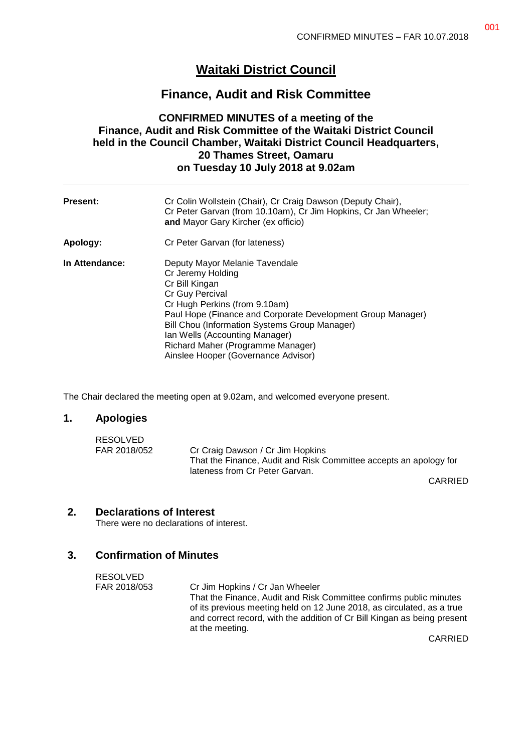# **Waitaki District Council**

# **Finance, Audit and Risk Committee**

# **CONFIRMED MINUTES of a meeting of the Finance, Audit and Risk Committee of the Waitaki District Council held in the Council Chamber, Waitaki District Council Headquarters, 20 Thames Street, Oamaru on Tuesday 10 July 2018 at 9.02am**

| <b>Present:</b> | Cr Colin Wollstein (Chair), Cr Craig Dawson (Deputy Chair),<br>Cr Peter Garvan (from 10.10am), Cr Jim Hopkins, Cr Jan Wheeler;<br>and Mayor Gary Kircher (ex officio)                                                                                                                                                                                   |
|-----------------|---------------------------------------------------------------------------------------------------------------------------------------------------------------------------------------------------------------------------------------------------------------------------------------------------------------------------------------------------------|
| Apology:        | Cr Peter Garvan (for lateness)                                                                                                                                                                                                                                                                                                                          |
| In Attendance:  | Deputy Mayor Melanie Tavendale<br>Cr Jeremy Holding<br>Cr Bill Kingan<br>Cr Guy Percival<br>Cr Hugh Perkins (from 9.10am)<br>Paul Hope (Finance and Corporate Development Group Manager)<br>Bill Chou (Information Systems Group Manager)<br>Ian Wells (Accounting Manager)<br>Richard Maher (Programme Manager)<br>Ainslee Hooper (Governance Advisor) |

The Chair declared the meeting open at 9.02am, and welcomed everyone present.

#### **1. Apologies**

| RESOLVED     |                                                                   |
|--------------|-------------------------------------------------------------------|
| FAR 2018/052 | Cr Craig Dawson / Cr Jim Hopkins                                  |
|              | That the Finance, Audit and Risk Committee accepts an apology for |
|              | lateness from Cr Peter Garvan.                                    |

CARRIED

#### **2. Declarations of Interest**

There were no declarations of interest.

#### **3. Confirmation of Minutes**

| RESOLVED     |                                                                          |
|--------------|--------------------------------------------------------------------------|
| FAR 2018/053 | Cr Jim Hopkins / Cr Jan Wheeler                                          |
|              | That the Finance, Audit and Risk Committee confirms public minutes       |
|              | of its previous meeting held on 12 June 2018, as circulated, as a true   |
|              | and correct record, with the addition of Cr Bill Kingan as being present |
|              | at the meeting.                                                          |
|              | $\bigcap$                                                                |

CARRIED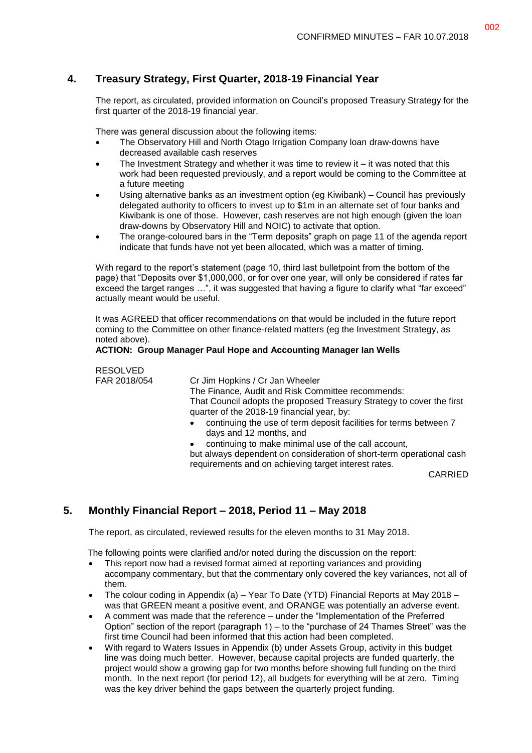### **4. Treasury Strategy, First Quarter, 2018-19 Financial Year**

The report, as circulated, provided information on Council's proposed Treasury Strategy for the first quarter of the 2018-19 financial year.

There was general discussion about the following items:

- The Observatory Hill and North Otago Irrigation Company loan draw-downs have decreased available cash reserves
- The Investment Strategy and whether it was time to review it it was noted that this work had been requested previously, and a report would be coming to the Committee at a future meeting
- Using alternative banks as an investment option (eg Kiwibank) Council has previously delegated authority to officers to invest up to \$1m in an alternate set of four banks and Kiwibank is one of those. However, cash reserves are not high enough (given the loan draw-downs by Observatory Hill and NOIC) to activate that option.
- The orange-coloured bars in the "Term deposits" graph on page 11 of the agenda report indicate that funds have not yet been allocated, which was a matter of timing.

With regard to the report's statement (page 10, third last bulletpoint from the bottom of the page) that "Deposits over \$1,000,000, or for over one year, will only be considered if rates far exceed the target ranges …", it was suggested that having a figure to clarify what "far exceed" actually meant would be useful.

It was AGREED that officer recommendations on that would be included in the future report coming to the Committee on other finance-related matters (eg the Investment Strategy, as noted above).

#### **ACTION: Group Manager Paul Hope and Accounting Manager Ian Wells**

# RESOLVED<br>FAR 2018/054

Cr Jim Hopkins / Cr Jan Wheeler

The Finance, Audit and Risk Committee recommends: That Council adopts the proposed Treasury Strategy to cover the first quarter of the 2018-19 financial year, by:

- continuing the use of term deposit facilities for terms between 7 days and 12 months, and
- continuing to make minimal use of the call account,

but always dependent on consideration of short-term operational cash requirements and on achieving target interest rates.

CARRIED

# **5. Monthly Financial Report – 2018, Period 11 – May 2018**

The report, as circulated, reviewed results for the eleven months to 31 May 2018.

The following points were clarified and/or noted during the discussion on the report:

- This report now had a revised format aimed at reporting variances and providing accompany commentary, but that the commentary only covered the key variances, not all of them.
- The colour coding in Appendix (a) Year To Date (YTD) Financial Reports at May 2018 was that GREEN meant a positive event, and ORANGE was potentially an adverse event.
- A comment was made that the reference under the "Implementation of the Preferred Option" section of the report (paragraph 1) – to the "purchase of 24 Thames Street" was the first time Council had been informed that this action had been completed.
- With regard to Waters Issues in Appendix (b) under Assets Group, activity in this budget line was doing much better. However, because capital projects are funded quarterly, the project would show a growing gap for two months before showing full funding on the third month. In the next report (for period 12), all budgets for everything will be at zero. Timing was the key driver behind the gaps between the quarterly project funding.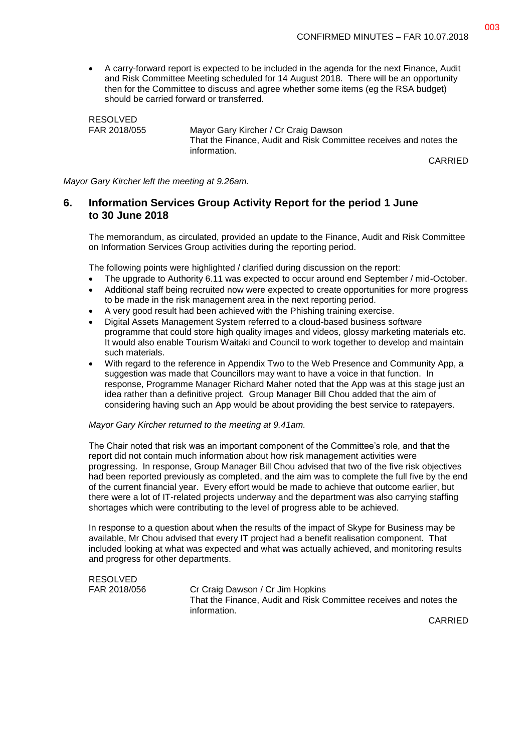A carry-forward report is expected to be included in the agenda for the next Finance, Audit and Risk Committee Meeting scheduled for 14 August 2018. There will be an opportunity then for the Committee to discuss and agree whether some items (eg the RSA budget) should be carried forward or transferred.

RESOLVED FAR 2018/055 Mayor Gary Kircher / Cr Craig Dawson That the Finance, Audit and Risk Committee receives and notes the information.

CARRIED

*Mayor Gary Kircher left the meeting at 9.26am.*

#### **6. Information Services Group Activity Report for the period 1 June to 30 June 2018**

The memorandum, as circulated, provided an update to the Finance, Audit and Risk Committee on Information Services Group activities during the reporting period.

The following points were highlighted / clarified during discussion on the report:

- The upgrade to Authority 6.11 was expected to occur around end September / mid-October.
- Additional staff being recruited now were expected to create opportunities for more progress to be made in the risk management area in the next reporting period.
- A very good result had been achieved with the Phishing training exercise.
- Digital Assets Management System referred to a cloud-based business software programme that could store high quality images and videos, glossy marketing materials etc. It would also enable Tourism Waitaki and Council to work together to develop and maintain such materials.
- With regard to the reference in Appendix Two to the Web Presence and Community App, a suggestion was made that Councillors may want to have a voice in that function. In response, Programme Manager Richard Maher noted that the App was at this stage just an idea rather than a definitive project. Group Manager Bill Chou added that the aim of considering having such an App would be about providing the best service to ratepayers.

#### *Mayor Gary Kircher returned to the meeting at 9.41am.*

The Chair noted that risk was an important component of the Committee's role, and that the report did not contain much information about how risk management activities were progressing. In response, Group Manager Bill Chou advised that two of the five risk objectives had been reported previously as completed, and the aim was to complete the full five by the end of the current financial year. Every effort would be made to achieve that outcome earlier, but there were a lot of IT-related projects underway and the department was also carrying staffing shortages which were contributing to the level of progress able to be achieved.

In response to a question about when the results of the impact of Skype for Business may be available, Mr Chou advised that every IT project had a benefit realisation component. That included looking at what was expected and what was actually achieved, and monitoring results and progress for other departments.

RESOLVED

FAR 2018/056 Cr Craig Dawson / Cr Jim Hopkins That the Finance, Audit and Risk Committee receives and notes the information.

CARRIED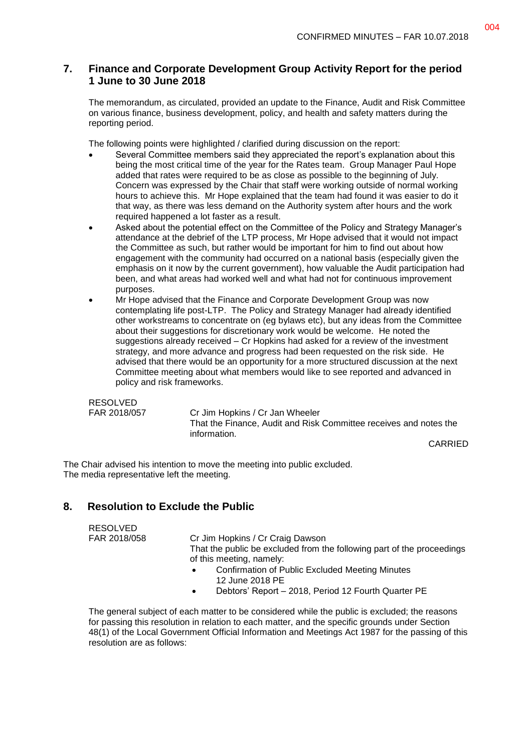# **7. Finance and Corporate Development Group Activity Report for the period 1 June to 30 June 2018**

The memorandum, as circulated, provided an update to the Finance, Audit and Risk Committee on various finance, business development, policy, and health and safety matters during the reporting period.

The following points were highlighted / clarified during discussion on the report:

- Several Committee members said they appreciated the report's explanation about this being the most critical time of the year for the Rates team. Group Manager Paul Hope added that rates were required to be as close as possible to the beginning of July. Concern was expressed by the Chair that staff were working outside of normal working hours to achieve this. Mr Hope explained that the team had found it was easier to do it that way, as there was less demand on the Authority system after hours and the work required happened a lot faster as a result.
- Asked about the potential effect on the Committee of the Policy and Strategy Manager's attendance at the debrief of the LTP process, Mr Hope advised that it would not impact the Committee as such, but rather would be important for him to find out about how engagement with the community had occurred on a national basis (especially given the emphasis on it now by the current government), how valuable the Audit participation had been, and what areas had worked well and what had not for continuous improvement purposes.
- Mr Hope advised that the Finance and Corporate Development Group was now contemplating life post-LTP. The Policy and Strategy Manager had already identified other workstreams to concentrate on (eg bylaws etc), but any ideas from the Committee about their suggestions for discretionary work would be welcome. He noted the suggestions already received – Cr Hopkins had asked for a review of the investment strategy, and more advance and progress had been requested on the risk side. He advised that there would be an opportunity for a more structured discussion at the next Committee meeting about what members would like to see reported and advanced in policy and risk frameworks.

RESOLVED

FAR 2018/057 Cr Jim Hopkins / Cr Jan Wheeler That the Finance, Audit and Risk Committee receives and notes the information.

CARRIED

The Chair advised his intention to move the meeting into public excluded. The media representative left the meeting.

# **8. Resolution to Exclude the Public**

RESOLVED

FAR 2018/058 Cr Jim Hopkins / Cr Craig Dawson

That the public be excluded from the following part of the proceedings of this meeting, namely:

- Confirmation of Public Excluded Meeting Minutes 12 June 2018 PE
- Debtors' Report 2018, Period 12 Fourth Quarter PE

The general subject of each matter to be considered while the public is excluded; the reasons for passing this resolution in relation to each matter, and the specific grounds under Section 48(1) of the Local Government Official Information and Meetings Act 1987 for the passing of this resolution are as follows: